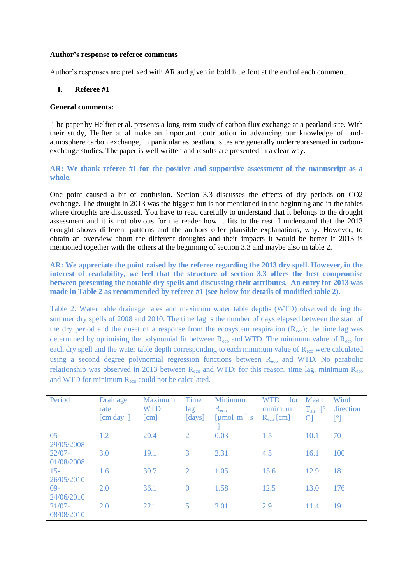### **Author's response to referee comments**

Author's responses are prefixed with AR and given in bold blue font at the end of each comment.

### **I. Referee #1**

### **General comments:**

The paper by Helfter et al. presents a long-term study of carbon flux exchange at a peatland site. With their study, Helfter at al make an important contribution in advancing our knowledge of landatmosphere carbon exchange, in particular as peatland sites are generally underrepresented in carbonexchange studies. The paper is well written and results are presented in a clear way.

**AR: We thank referee #1 for the positive and supportive assessment of the manuscript as a whole.** 

One point caused a bit of confusion. Section 3.3 discusses the effects of dry periods on CO2 exchange. The drought in 2013 was the biggest but is not mentioned in the beginning and in the tables where droughts are discussed. You have to read carefully to understand that it belongs to the drought assessment and it is not obvious for the reader how it fits to the rest. I understand that the 2013 drought shows different patterns and the authors offer plausible explanations, why. However, to obtain an overview about the different droughts and their impacts it would be better if 2013 is mentioned together with the others at the beginning of section 3.3 and maybe also in table 2.

**AR: We appreciate the point raised by the referee regarding the 2013 dry spell. However, in the interest of readability, we feel that the structure of section 3.3 offers the best compromise between presenting the notable dry spells and discussing their attributes. An entry for 2013 was made in Table 2 as recommended by referee #1 (see below for details of modified table 2).**

Table 2: Water table drainage rates and maximum water table depths (WTD) observed during the summer dry spells of 2008 and 2010. The time lag is the number of days elapsed between the start of the dry period and the onset of a response from the ecosystem respiration  $(R_{\text{eco}})$ ; the time lag was determined by optimising the polynomial fit between  $R_{\text{eco}}$  and WTD. The minimum value of  $R_{\text{eco}}$  for each dry spell and the water table depth corresponding to each minimum value of  $R_{\text{eco}}$  were calculated using a second degree polynomial regression functions between  $R_{\text{eco}}$  and WTD. No parabolic relationship was observed in 2013 between  $R_{\text{eco}}$  and WTD; for this reason, time lag, minimum  $R_{\text{eco}}$ and WTD for minimum  $R_{\text{eco}}$  could not be calculated.

| Period                  | <b>Drainage</b><br>rate<br>$[\text{cm day}^{\text{-1}}]$ | Maximum<br>WTD<br>[cm] | Time<br>lag<br>[days] | Minimum<br>$R_{\rm eco}$<br>[µmol m <sup>-2</sup> s <sup>-</sup> | WTD<br>for<br>minimum<br>$R_{\rm eco}$ [cm] | Mean<br>$T_{air}$ [ $\circ$<br> C | Wind<br>direction<br>$\mathsf{I}^\circ$ |
|-------------------------|----------------------------------------------------------|------------------------|-----------------------|------------------------------------------------------------------|---------------------------------------------|-----------------------------------|-----------------------------------------|
| $05 -$<br>29/05/2008    | 1.2                                                      | 20.4                   | 2                     | 0.03                                                             | 1.5                                         | 10.1                              | 70                                      |
| $22/07 -$<br>01/08/2008 | 3.0                                                      | 19.1                   | 3                     | 2.31                                                             | 4.5                                         | 16.1                              | 100                                     |
| $15-$<br>26/05/2010     | 1.6                                                      | 30.7                   | 2                     | 1.05                                                             | 15.6                                        | 12.9                              | 181                                     |
| $09-$<br>24/06/2010     | 2.0                                                      | 36.1                   | $\theta$              | 1.58                                                             | 12.5                                        | 13.0                              | 176                                     |
| $21/07 -$<br>08/08/2010 | 2.0                                                      | 22.1                   | 5                     | 2.01                                                             | 2.9                                         | 11.4                              | 191                                     |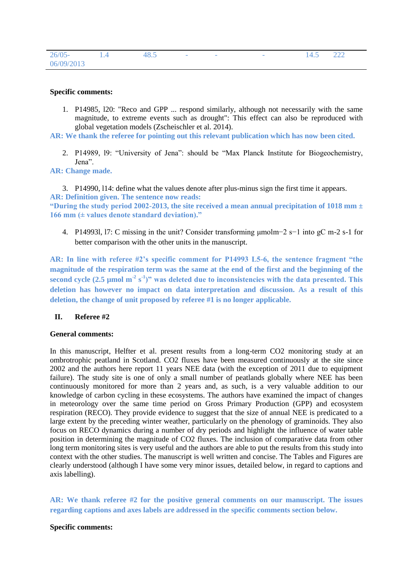| $26/05 -$  | 48.5 | $\overline{\phantom{a}}$ | $\overline{\phantom{a}}$ | $\overline{\phantom{a}}$ | 14.5 | 222 |
|------------|------|--------------------------|--------------------------|--------------------------|------|-----|
| 06/09/2013 |      |                          |                          |                          |      |     |

### **Specific comments:**

1. P14985, l20: "Reco and GPP ... respond similarly, although not necessarily with the same magnitude, to extreme events such as drought": This effect can also be reproduced with global vegetation models (Zscheischler et al. 2014).

**AR: We thank the referee for pointing out this relevant publication which has now been cited.**

2. P14989, l9: "University of Jena": should be "Max Planck Institute for Biogeochemistry, Jena".

**AR: Change made.**

3. P14990, l14: define what the values denote after plus-minus sign the first time it appears. **AR: Definition given. The sentence now reads:**

**"During the study period 2002-2013, the site received a mean annual precipitation of 1018 mm ± 166 mm (± values denote standard deviation)."**

4. P14993l, l7: C missing in the unit? Consider transforming μmolm−2 s−1 into gC m-2 s-1 for better comparison with the other units in the manuscript.

**AR: In line with referee #2's specific comment for P14993 L5-6, the sentence fragment "the magnitude of the respiration term was the same at the end of the first and the beginning of the**  second cycle  $(2.5 \text{ }\mu\text{mol m}^2 \text{ s}^2)$ " was deleted due to inconsistencies with the data presented. This **deletion has however no impact on data interpretation and discussion. As a result of this deletion, the change of unit proposed by referee #1 is no longer applicable.**

## **II. Referee #2**

### **General comments:**

In this manuscript, Helfter et al. present results from a long-term CO2 monitoring study at an ombrotrophic peatland in Scotland. CO2 fluxes have been measured continuously at the site since 2002 and the authors here report 11 years NEE data (with the exception of 2011 due to equipment failure). The study site is one of only a small number of peatlands globally where NEE has been continuously monitored for more than 2 years and, as such, is a very valuable addition to our knowledge of carbon cycling in these ecosystems. The authors have examined the impact of changes in meteorology over the same time period on Gross Primary Production (GPP) and ecosystem respiration (RECO). They provide evidence to suggest that the size of annual NEE is predicated to a large extent by the preceding winter weather, particularly on the phenology of graminoids. They also focus on RECO dynamics during a number of dry periods and highlight the influence of water table position in determining the magnitude of CO2 fluxes. The inclusion of comparative data from other long term monitoring sites is very useful and the authors are able to put the results from this study into context with the other studies. The manuscript is well written and concise. The Tables and Figures are clearly understood (although I have some very minor issues, detailed below, in regard to captions and axis labelling).

**AR: We thank referee #2 for the positive general comments on our manuscript. The issues regarding captions and axes labels are addressed in the specific comments section below.**

### **Specific comments:**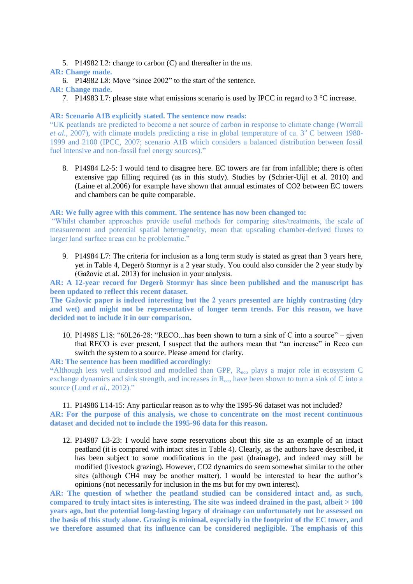5. P14982 L2: change to carbon (C) and thereafter in the ms.

# **AR: Change made.**

6. P14982 L8: Move "since 2002" to the start of the sentence.

# **AR: Change made.**

7. P14983 L7: please state what emissions scenario is used by IPCC in regard to 3 °C increase.

# **AR: Scenario A1B explicitly stated. The sentence now reads:**

"UK peatlands are predicted to become a net source of carbon in response to climate change (Worrall *et al.*, 2007), with climate models predicting a rise in global temperature of ca. 3<sup>°</sup> C between 1980-1999 and 2100 (IPCC, 2007; scenario A1B which considers a balanced distribution between fossil fuel intensive and non-fossil fuel energy sources)."

8. P14984 L2-5: I would tend to disagree here. EC towers are far from infallible; there is often extensive gap filling required (as in this study). Studies by (Schrier-Uijl et al. 2010) and (Laine et al.2006) for example have shown that annual estimates of CO2 between EC towers and chambers can be quite comparable.

## **AR: We fully agree with this comment. The sentence has now been changed to:**

"Whilst chamber approaches provide useful methods for comparing sites/treatments, the scale of measurement and potential spatial heterogeneity, mean that upscaling chamber-derived fluxes to larger land surface areas can be problematic."

9. P14984 L7: The criteria for inclusion as a long term study is stated as great than 3 years here, yet in Table 4, Degerö Stormyr is a 2 year study. You could also consider the 2 year study by (Gažovic et al. 2013) for inclusion in your analysis.

**AR: A 12-year record for Degerö Stormyr has since been published and the manuscript has been updated to reflect this recent dataset.**

**The Gažovic paper is indeed interesting but the 2 years presented are highly contrasting (dry and wet) and might not be representative of longer term trends. For this reason, we have decided not to include it in our comparison.**

10. P14985 L18: "60L26-28: "RECO...has been shown to turn a sink of C into a source" – given that RECO is ever present, I suspect that the authors mean that "an increase" in Reco can switch the system to a source. Please amend for clarity.

**AR: The sentence has been modified accordingly:**

**"**Although less well understood and modelled than GPP, Reco plays a major role in ecosystem C exchange dynamics and sink strength, and increases in R<sub>eco</sub> have been shown to turn a sink of C into a source (Lund *et al.*, 2012)."

## 11. P14986 L14-15: Any particular reason as to why the 1995-96 dataset was not included?

**AR: For the purpose of this analysis, we chose to concentrate on the most recent continuous dataset and decided not to include the 1995-96 data for this reason.**

12. P14987 L3-23: I would have some reservations about this site as an example of an intact peatland (it is compared with intact sites in Table 4). Clearly, as the authors have described, it has been subject to some modifications in the past (drainage), and indeed may still be modified (livestock grazing). However, CO2 dynamics do seem somewhat similar to the other sites (although CH4 may be another matter). I would be interested to hear the author's opinions (not necessarily for inclusion in the ms but for my own interest).

**AR: The question of whether the peatland studied can be considered intact and, as such, compared to truly intact sites is interesting. The site was indeed drained in the past, albeit > 100 years ago, but the potential long-lasting legacy of drainage can unfortunately not be assessed on the basis of this study alone. Grazing is minimal, especially in the footprint of the EC tower, and we therefore assumed that its influence can be considered negligible. The emphasis of this**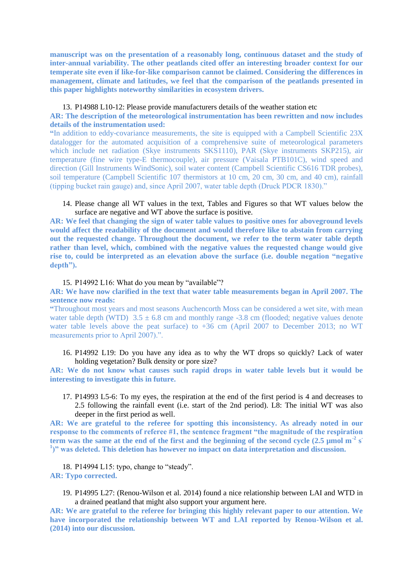**manuscript was on the presentation of a reasonably long, continuous dataset and the study of inter-annual variability. The other peatlands cited offer an interesting broader context for our temperate site even if like-for-like comparison cannot be claimed. Considering the differences in management, climate and latitudes, we feel that the comparison of the peatlands presented in this paper highlights noteworthy similarities in ecosystem drivers.**

# 13. P14988 L10-12: Please provide manufacturers details of the weather station etc

## **AR: The description of the meteorological instrumentation has been rewritten and now includes details of the instrumentation used:**

**"**In addition to eddy-covariance measurements, the site is equipped with a Campbell Scientific 23X datalogger for the automated acquisition of a comprehensive suite of meteorological parameters which include net radiation (Skye instruments SKS1110), PAR (Skye instruments SKP215), air temperature (fine wire type-E thermocouple), air pressure (Vaisala PTB101C), wind speed and direction (Gill Instruments WindSonic), soil water content (Campbell Scientific CS616 TDR probes), soil temperature (Campbell Scientific 107 thermistors at 10 cm, 20 cm, 30 cm, and 40 cm), rainfall (tipping bucket rain gauge) and, since April 2007, water table depth (Druck PDCR 1830)."

### 14. Please change all WT values in the text, Tables and Figures so that WT values below the surface are negative and WT above the surface is positive.

**AR: We feel that changing the sign of water table values to positive ones for aboveground levels would affect the readability of the document and would therefore like to abstain from carrying out the requested change. Throughout the document, we refer to the term water table depth rather than level, which, combined with the negative values the requested change would give rise to, could be interpreted as an elevation above the surface (i.e. double negation "negative depth").**

### 15. P14992 L16: What do you mean by "available"?

## **AR: We have now clarified in the text that water table measurements began in April 2007. The sentence now reads:**

**"**Throughout most years and most seasons Auchencorth Moss can be considered a wet site, with mean water table depth (WTD)  $3.5 \pm 6.8$  cm and monthly range -3.8 cm (flooded; negative values denote water table levels above the peat surface) to +36 cm (April 2007 to December 2013; no WT measurements prior to April 2007).".

16. P14992 L19: Do you have any idea as to why the WT drops so quickly? Lack of water holding vegetation? Bulk density or pore size?

**AR: We do not know what causes such rapid drops in water table levels but it would be interesting to investigate this in future.**

17. P14993 L5-6: To my eyes, the respiration at the end of the first period is 4 and decreases to 2.5 following the rainfall event (i.e. start of the 2nd period). L8: The initial WT was also deeper in the first period as well.

**AR: We are grateful to the referee for spotting this inconsistency. As already noted in our response to the comments of referee #1, the sentence fragment "the magnitude of the respiration term was the same at the end of the first and the beginning of the second cycle**  $(2.5 \text{ }\mu\text{mol m}^{-2}\text{ s})$ <sup>1</sup>)" was deleted. This deletion has however no impact on data interpretation and discussion.

18. P14994 L15: typo, change to "steady". **AR: Typo corrected.**

19. P14995 L27: (Renou-Wilson et al. 2014) found a nice relationship between LAI and WTD in a drained peatland that might also support your argument here.

**AR: We are grateful to the referee for bringing this highly relevant paper to our attention. We have incorporated the relationship between WT and LAI reported by Renou-Wilson et al. (2014) into our discussion.**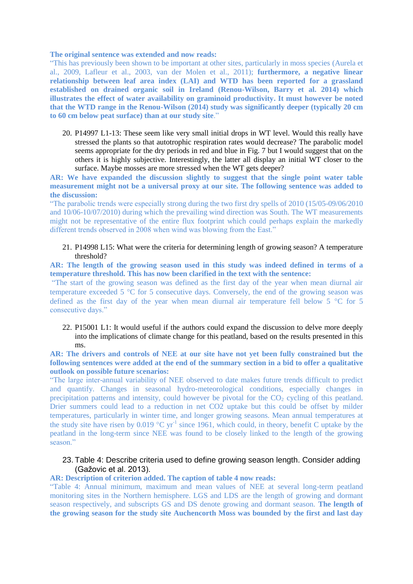#### **The original sentence was extended and now reads:**

"This has previously been shown to be important at other sites, particularly in moss species (Aurela et al., 2009, Lafleur et al., 2003, van der Molen et al., 2011); **furthermore, a negative linear relationship between leaf area index (LAI) and WTD has been reported for a grassland established on drained organic soil in Ireland (Renou-Wilson, Barry et al. 2014) which illustrates the effect of water availability on graminoid productivity. It must however be noted that the WTD range in the Renou-Wilson (2014) study was significantly deeper (typically 20 cm to 60 cm below peat surface) than at our study site**."

20. P14997 L1-13: These seem like very small initial drops in WT level. Would this really have stressed the plants so that autotrophic respiration rates would decrease? The parabolic model seems appropriate for the dry periods in red and blue in Fig. 7 but I would suggest that on the others it is highly subjective. Interestingly, the latter all display an initial WT closer to the surface. Maybe mosses are more stressed when the WT gets deeper?

## **AR: We have expanded the discussion slightly to suggest that the single point water table measurement might not be a universal proxy at our site. The following sentence was added to the discussion:**

"The parabolic trends were especially strong during the two first dry spells of 2010 (15/05-09/06/2010 and 10/06-10/07/2010) during which the prevailing wind direction was South. The WT measurements might not be representative of the entire flux footprint which could perhaps explain the markedly different trends observed in 2008 when wind was blowing from the East."

## 21. P14998 L15: What were the criteria for determining length of growing season? A temperature threshold?

**AR: The length of the growing season used in this study was indeed defined in terms of a temperature threshold. This has now been clarified in the text with the sentence:**

"The start of the growing season was defined as the first day of the year when mean diurnal air temperature exceeded  $5^{\circ}$ C for 5 consecutive days. Conversely, the end of the growing season was defined as the first day of the year when mean diurnal air temperature fell below  $5^{\circ}$ C for  $5$ consecutive days."

22. P15001 L1: It would useful if the authors could expand the discussion to delve more deeply into the implications of climate change for this peatland, based on the results presented in this ms.

## **AR: The drivers and controls of NEE at our site have not yet been fully constrained but the following sentences were added at the end of the summary section in a bid to offer a qualitative outlook on possible future scenarios:**

"The large inter-annual variability of NEE observed to date makes future trends difficult to predict and quantify. Changes in seasonal hydro-meteorological conditions, especially changes in precipitation patterns and intensity, could however be pivotal for the  $CO<sub>2</sub>$  cycling of this peatland. Drier summers could lead to a reduction in net CO2 uptake but this could be offset by milder temperatures, particularly in winter time, and longer growing seasons. Mean annual temperatures at the study site have risen by 0.019  $^{\circ}$ C yr<sup>-1</sup> since 1961, which could, in theory, benefit C uptake by the peatland in the long-term since NEE was found to be closely linked to the length of the growing season."

# 23. Table 4: Describe criteria used to define growing season length. Consider adding (Gažovic et al. 2013).

## **AR: Description of criterion added. The caption of table 4 now reads:**

"Table 4: Annual minimum, maximum and mean values of NEE at several long-term peatland monitoring sites in the Northern hemisphere. LGS and LDS are the length of growing and dormant season respectively, and subscripts GS and DS denote growing and dormant season. **The length of the growing season for the study site Auchencorth Moss was bounded by the first and last day**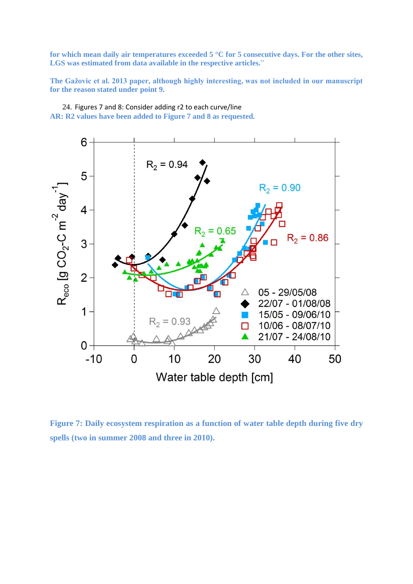**for which mean daily air temperatures exceeded 5 °C for 5 consecutive days. For the other sites, LGS was estimated from data available in the respective articles.**"

**The Gažovic et al. 2013 paper, although highly interesting, was not included in our manuscript for the reason stated under point 9.**

24. Figures 7 and 8: Consider adding r2 to each curve/line **AR: R2 values have been added to Figure 7 and 8 as requested.** 



**Figure 7: Daily ecosystem respiration as a function of water table depth during five dry spells (two in summer 2008 and three in 2010).**